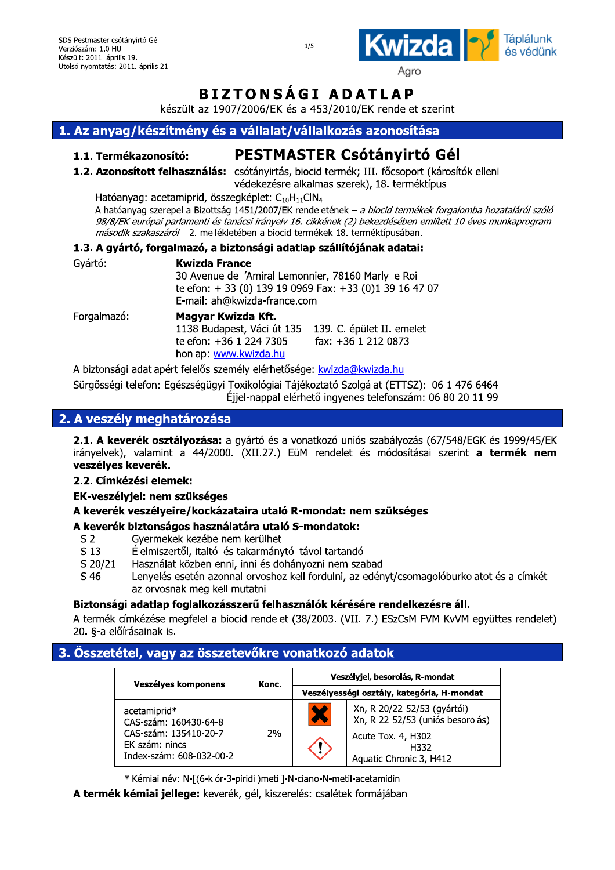

Agro

# **BIZTONSAGI ADATLAP**

készült az 1907/2006/EK és a 453/2010/EK rendelet szerint

## 1. Az anyag/készítmény és a vállalat/vállalkozás azonosítása

### 1.1. Termékazonosító:

# **PESTMASTER Csótányirtó Gél**

1.2. Azonosított felhasználás: csótányirtás, biocid termék; III. főcsoport (károsítók elleni védekezésre alkalmas szerek), 18. terméktípus

Hatóanyag: acetamiprid, összegképlet: C<sub>10</sub>H<sub>11</sub>ClN<sub>4</sub>

A hatóanyag szerepel a Bizottság 1451/2007/EK rendeletének – a biocid termékek forgalomba hozataláról szóló 98/8/EK európai parlamenti és tanácsi irányelv 16. cikkének (2) bekezdésében említett 10 éves munkaprogram második szakaszáról - 2. mellékletében a biocid termékek 18. terméktípusában.

### 1.3. A gyártó, forgalmazó, a biztonsági adatlap szállítójának adatai:

| Gyártó:     | <b>Kwizda France</b><br>30 Avenue de l'Amiral Lemonnier, 78160 Marly le Roi<br>telefon: + 33 (0) 139 19 0969 Fax: +33 (0)1 39 16 47 07<br>E-mail: ah@kwizda-france.com |  |
|-------------|------------------------------------------------------------------------------------------------------------------------------------------------------------------------|--|
| Forgalmazó: | Magyar Kwizda Kft.<br>1138 Budapest, Váci út 135 - 139. C. épület II. emelet<br>fax: +36 1 212 0873<br>telefon: +36 1 224 7305<br>honlan: www.kwizda hu                |  |

A biztonsági adatlapért felelős személy elérhetősége: kwizda@kwizda.hu

Sürgősségi telefon: Egészségügyi Toxikológiai Tájékoztató Szolgálat (ETTSZ): 06 1 476 6464 Éjjel-nappal elérhető ingyenes telefonszám: 06 80 20 11 99

## 2. A veszély meghatározása

2.1. A keverék osztályozása: a gyártó és a vonatkozó uniós szabályozás (67/548/EGK és 1999/45/EK irányelvek), valamint a 44/2000. (XII.27.) EüM rendelet és módosításai szerint a termék nem veszélyes keverék.

### 2.2. Címkézési elemek:

EK-veszélviel: nem szükséges

## A keverék veszélyeire/kockázataira utaló R-mondat: nem szükséges

## A keverék biztonságos használatára utaló S-mondatok:

- Gyermekek kezébe nem kerülhet  $S<sub>2</sub>$
- $S<sub>13</sub>$ Élelmiszertől, italtól és takarmánytól távol tartandó
- S 20/21 Használat közben enni, inni és dohányozni nem szabad
- Lenyelés esetén azonnal orvoshoz kell fordulni, az edényt/csomagolóburkolatot és a címkét S 46 az orvosnak meg kell mutatni

## Biztonsági adatlap foglalkozásszerű felhasználók kérésére rendelkezésre áll.

A termék címkézése megfelel a biocid rendelet (38/2003. (VII. 7.) ESzCsM-FVM-KvVM együttes rendelet) 20. §-a előírásainak is.

## 3. Összetétel, vagy az összetevőkre vonatkozó adatok

| Veszélyes komponens                                                 | Konc. | Veszélyjel, besorolás, R-mondat                                 |
|---------------------------------------------------------------------|-------|-----------------------------------------------------------------|
|                                                                     |       | Veszélyességi osztály, kategória, H-mondat                      |
| acetamiprid*<br>CAS-szám: 160430-64-8                               | 2%    | Xn, R 20/22-52/53 (gyártói)<br>Xn, R 22-52/53 (uniós besorolás) |
| CAS-szám: 135410-20-7<br>EK-szám: nincs<br>Index-szám: 608-032-00-2 |       | Acute Tox. 4, H302<br>H332<br>Aquatic Chronic 3, H412           |

\* Kémiai név: N-[(6-klór-3-piridil)metil]-N-ciano-N-metil-acetamidin

A termék kémiai jellege: keverék, gél, kiszerelés: csalétek formájában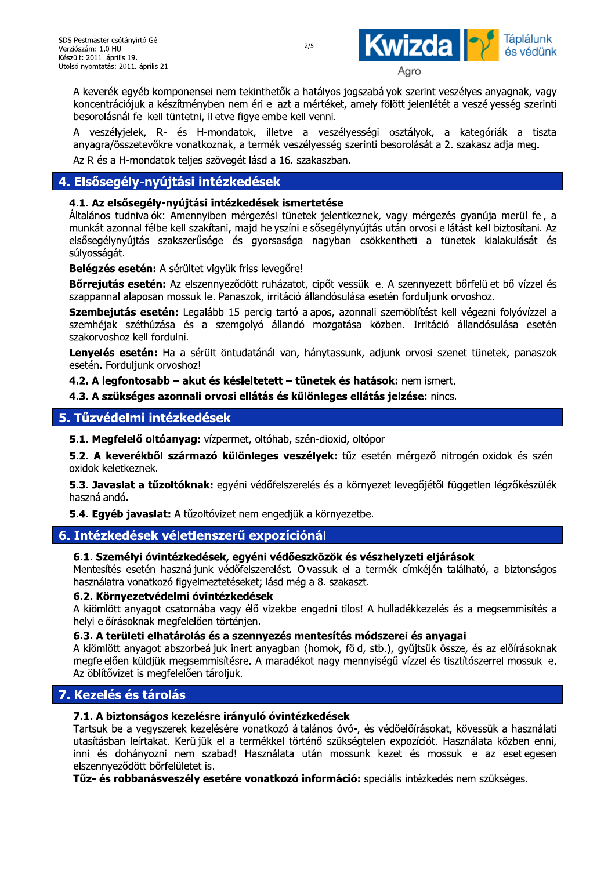

A keverek egyeb komponensel nem tekintnetök a natalyos jogszabalyok szerint veszelyes al SDS Pestmaster csótányirtó Gél<br>
Verziószám: 1.0 HU<br>
Készült: 2011. április 19.<br>
Utolsó nyomtatás: 2011. április 21.<br>
A keverék egyéb komponensei ner<br>
koncentrációjuk a készítményben r<br>
besorolásnál fel kell tüntetni, illet <sup>2/5</sup><br>Agro<br>Kinthetők a hatályos jogszabályok szerint ves:<br>éri el azt a mértéket, amely fölött jelenlétét a<br>yelembe kell venni.<br>k, illetve a veszélyességi osztályok, a<br>termék veszélyesség szerinti besorolását a 2.<br>lásd a 16 koncentraciojuk a keszitmenyben nem eri ei azt a merteket, amely folott jelenletet a veszelyesseg szerinti besorolashal fel keli tuhtetni, illetve figyelembe keli venni. tó Gél<br>április 21.<br>éb komponensei nem tekinthetők a hatályos j<br>k a készítményben nem éri el azt a mértéket,<br>el kell tüntetni, illetve figyelembe kell venni.<br>k, R- és H-mondatok, illetve a veszél<br>tevőkre vonatkoznak, a term <sup>2/5</sup><br>Agro<br>
netők a hatályos jogszabályok szerint veszélye<br>
el azt a mértéket, amely fölött jelenlétét a ves<br>
mbe kell venni.<br>
illetve a veszélyességi osztályok, a kat<br>
nék veszélyesség szerinti besorolását a 2. szak<br>
a 16 WIZOC SI Táplálunk<br>
Agro<br>
vályok szerint veszélyes anyagnak, vagy<br>
v fölött jelenlétét a veszélyesség szerinti<br>
i osztályok, a kategóriák a tiszta<br>
i besorolását a 2. szakasz adja meg.<br>
k, vagy mérgezés gyanúja merül fel,

A veszelyjelek, k- és H-mondatok, illetve a veszelyességi osztályok, a kategoriak a tiszta vonatkoznak, a termek veszelyesseg szerinti besorolasat a 2. szakasz adja m Az R és a H-mondatok teljés szöveget lásd a 16. szakaszban.

## 4. Elsősegély-nyújtási intézkedések

### 4.1. Az elsősegély-nyújtási intézkedések ismertetése

Wicklostam: 1.0 HU (1.0 HU (1.0 HU (1.0 HU (1.0 HU (1.0 HU (1.0 HU (1.0 HU (1.0 HU (1.0 HU (1.0 HU (1.0 HU (1.0 HU (1.0 HU (1.0 HU (1.0 HU (1.0 HU (1.0 HU (1.0 HU (1.0 HU (1.0 HU (1.0 HU (1.0 HU (1.0 HU (1.0 HU (1.0 HU (1. Agro<br>
Agro<br>
a tekinthetők a hatályos jogszabályok szerint<br>
iem éri el azt a mértéket, amely fölött jelenlét<br>
Figyelembe kell venni.<br>
latok, illetve a veszélyességi osztályok,<br>
, a termék veszélyesség szerinti besorolását a **El c** és védünk<br>
nt veszélyes anyagnak, vagy<br>
nlétét a veszélyesség szerinti<br>
k, a kategóriák a tiszta<br>
it a 2. szakasz adja meg.<br>
rgezés gyanúja merül fel, a<br>
si ellátást kell biztosítani. Az<br>
a tünetek kialakulását és 11. április 21.<br>gyéb komponensei nem tekinthetők a hatályc<br>gyéb komponensei nem éri el azt a mérték<br>l fel kell tüntetni, illetve figyelembe kell venni<br>elek, R- és H-mondatok, illetve a ves<br>zetevőkre vonatkoznak, a termék v Altalanos tudnivalok: Amennyiben mergezesi tunetek jelentkezhek, vagy mergezes gyahuja merui fel, a Kell türletni, illetve ilgyelembe kell venni.<br>
2 R- és H-mondatok, illetve a veszélyevőkre vonatkoznak, a termék veszélyesség sz<br>
ndatok teljes szövegét lásd a 16. szakaszban.<br> **nyújtási intézkedések ismertetése**<br>
láb : Am venni.<br>
a veszélyességi osztályok, a kategóriá<br>
szélyesség szerinti besorolását a 2. szakasz a<br>
szakaszban.<br> **mertetése**<br>
netek jelentkeznek, vagy mérgezés gyanúja<br>
ni elsősegélynyújtás után orvosi ellátást kell b<br>
ga nagy ni.<br>Szélyességi osztályok, a kategóriák a<br>ség szerinti-besorolását-a 2. szakasz-adja-meg<br>zban.<br>Zban.<br>Szerinti-besorolását-a 2. szakasz-adja-merül<br>Szerinti-gélynyújtás után orvosi-ellátást kell biztosítar<br>syban csökkentheti sségi osztályok, a kategóriák a tiszta<br>Printi-besorolását a 2. szakasz-adja-meg.<br>Znek, vagy mérgezés gyanúja merül fel, a<br>A víjtás után orvosi ellátást kell biztosítani. Az<br>Csökkentheti a tünetek kialakulását és<br>Si esetén munkat azonnal felbe keli szakitani, majd nelyszini elsőségelynyujtás után orvosi ellátást keli biztosítáni. Az datok, illetve a veszélyességi osztályok,<br>k, a termék veszélyesség szerinti besorolását<br>egét lásd a 16. szakaszban.<br>**kedések**<br>**ázkedések ismertetése**<br>mérgezési tünetek jelentkeznek, vagy mérg<br>i, majd helyszíni elsősegélyny anyagra/összetevőkre vonatkoznak, a termék veszélyesség szerinti besorolását a 2. szakasz adja meg.<br>
Az R és a H-mondatok teljes szövegét lásd a 16. szakaszban.<br> **4. Elsősegély-nyújtási intézkedések**<br> **4. Elsősegély-nyújtá** l/összetevőkre vonatkoznak, a termék veszély<br>
a H-mondatok teljes szövegét lásd a 16. szak<br> **egély-nyújtási intézkedések ismert**<br>
s tudnivalók: Amennyiben mérgezési tünetek<br>
szonnal félbe kell szakítani, majd helyszíni els es györsásága hagyban csokkentneti a tünetek kialakulását és vőkre vonatkoznak, a termék veszélyesség szerinti bes<br>datok teljes szövegét lásd a 16. szakaszban.<br> **nyújtási intézkedések**<br> **ély-nyújtási intézkedések ismertetése**<br>
lók: Amennyiben mérgezési tünetek jelentkeznek, va<br>
élbe hak, a termék veszélyesség szerinti besorolásá<br>
vegét lásd a 16. szakaszban.<br> **Ézkedések ismertetése**<br>
In mérgezési tünetek jelentkeznek, vagy mé<br>
ni, majd helyszíni elsősegélynyújtás után orvc<br>
a és gyorsasága nagyban csö Az R és a H-mondatok teljes szövegét lásd a 16. szakaszban.<br> **4. Elsősegély-nyújtási intézkedések**<br> **4. 1. Az elsősegély-nyújtási intézkedések ismertetése**<br> **4. 1. Az elsősegély-nyújtási intézkedések ismertetése**<br>
Attaláno **egély-nyújtási intézkedések**<br> **elsősegély-nyújtási intézkedések ismerte**<br>
tudnivalók: Amennyiben mérgezési tünetek<br>
zonnal félbe kell szakítani, majd helyszíni első<br>
ynyújtás szakszerűsége és gyorsasága n<br>
ját.<br> **s esetén** rási intézkedések<br>
kújtási intézkedések ismertetése<br>
mennyiben mérgezési tünetek jelentkeznek,<br>
ell szakítani, majd helyszíni elsősegélynyújtás<br>
szerűsége és gyorsasága nagyban csökk<br>
érültet vigyük friss levegőre!<br>
z elsz ános tudnivalók: Amennyiben mérgezési tün<br>kát azonnal félbe kell szakítani, majd helyszín<br>segélynyújtás szakszerűsége és gyorsaság<br>sságát.<br>**gzés esetén:** A sérültet vigyük friss levegőre<br>**ejutás esetén:** Az elszennyeződött : Amennyiben mérgezési tünetek jelentkezne<br>e kell szakítani, majd helyszíni elsősegélynyúj<br>zakszerűsége és gyorsasága nagyban cs<br>A sérültet vigyük friss levegőre!<br>: Az elszennyeződött ruházatot, cipőt vessük<br>| mossuk le. P ek, vagy mérgezés gyanúja merül fel, a<br>tás után orvosi ellátást kell biztosítani. Az<br>iökkentheti a tünetek kialakulását és<br>setén forduljunk orvoshoz.<br>li szemöblítést kell végezni folyóvízzel a<br>közben. Irritáció állandósulá

**Belegzes eseten:** A serultet vigyuk friss le

**Borrejutas eseten:** Az elszennyezodott runazatot, cipot vessuk le. A szennyezett borrelulet bo vizzel és  $\sf{sz}$ appannal alaposan mossuk le. Panaszok, irritació allandosulasa eseten forduljunk orvosnoz.

Szembejutas eseten: Legalabb 15 percig tarto alapos, azonnali szemoblitest kell vegezhi folyovizzel a szemnejak szetnuzasa és a szemgolyó allandó mozgatása közben. Irritació allandosulása eseten al félbe kell szakitani, majd helyszini elsősegél<br>tás szakszerűsége és gyorsasága nagyba<br>t**én:** A sérültet vigyük friss levegőre!<br>**setén:** Az elszennyeződött ruházatot, cipőt v<br>posan mossuk le. Panaszok, irritáció állandós , majd helyszini elsősegélynyújtás után orvosi<br>
és gyorsasága nagyban csökkentheti a<br>
ik friss levegőre!<br>
eződött ruházatot, cipőt vessük le. A szennye<br>
enaszok, irritáció állandósulása esetén fordulju<br>
15 percig tartó ala szakorvosnoz kell fordulni.

Lenyeles eseten: Ha a seruit ontudatahal van, hanytassunk, adjunk orvosi szenet tunetek, panaszok eseten. Forauijunk orvosnoz!

**4.2. A legrontosabb – akut es kesleitetett – tunetek es natasok:** nem ismert.

4.3. A szukseges azonnali orvosi ellatas és kulonleges ellatas jelzese: nincs.

## 5. Tűzvédelmi intézkedések

5.1. Megrelelo oltoanyag: vizpermet, oltonab, szen-dioxid, oltopor

5.2. A Keverekbol szarmazo kulonleges veszelyek: tuz eseten mergezo hitrogen-oxidok es szen-<br>oxidok keletkeznek. Mayuszamy asjamt etter ezenet amelon, p<br> **letek és hatások:** nem ismert.<br> **inleges ellátás jelzése:** nincs.<br>
m-dioxid, oltópor<br> **ilyek:** tűz esetén mérgező nitrogén-oxidok<br>
és és a környezet levegőjétől független légző<br>
l <sub>1</sub>, azyant erter szenet tanssat, panaszot<br> **latás jelzése:** nincs.<br> **liátás jelzése:** nincs.<br> **li**ópor<br>
esetén mérgező nitrogén-oxidok és szén-<br>rnyezet levegőjétől független légzőkészülék<br>
tbe.<br> **vészhelyzeti eljárások 4.3. A szükséges azonnali orvosi ellátás és különk**<br>
T**űzvédelmi intézkedések**<br>
5.1. Megfelelő oltóanyag: vízpermet, oltóhab, szén-d<br>
5.2. A keverékből származó különleges veszélye<br>
oxidok keletkeznek.<br>
5.3. Javaslat a tű **önleges ellátás jelzése:** nincs.<br>n-dioxid, oltópor<br>**élyek:** tűz esetén mérgező nitrogén-oxidok<br>és és a környezet levegőjétől független légző<br>a környezetbe.<br>**nál**<br>közök és vészhelyzeti eljárások<br>vassuk el a termék címkéjén ell**átás jelzése:** nincs.<br>oltópor<br>z esetén mérgező nitrogén-oxidok és szén-<br>örnyezet levegőjétől független légzőkészülék<br>etbe.<br>**s vészhelyzeti eljárások**<br>a termék címkéjén található, a biztonságos<br>szt. **Izése:** nincs.<br>mérgező nitrogén-oxidok és szén-<br>evegőjétől független légzőkészülék<br>**yzeti eljárások**<br>címkéjén található, a biztonságos **Ezkedések**<br> **Ezkedések**<br> **Ezármazó különleges veszélyek:** tűz ese<br> **Itóknak:** egyéni védőfelszerelés és a környe<br> **Ezkedések, egyéni védőeszközök és vés<br>
<b>Életlenszerű expozíciónál**<br> **Ezkedések, egyéni védőeszközök és vés** 

vedoreiszereies és a kornyezet le használandó.

5.4. Egyeb javaslat: A tuzoitovizet nem engedjuk a kornyezetbe.

## 6. Intézkedések véletlenszerű expozíciónál

### 6.1. Személyi óvintézkedések, egyéni védőeszközök és vészhelyzeti eljárások

Mentesites eseten nasznaijunk vedőfelszefelest. Olvassuk el a termek cimkején talalható, a b nasznalatra vonatköző figyelmeztetéseket; iásd meg a 8. szákászt.

### 6.2. Körnvezetvédelmi óvintézkedések

A klomlott anyagot csatornaba vagy elo vízekbe engedni tilos! A hulladekkezelés és a megsemmisítés a nelyi eloirasokhak megrelelően történjen.

### 6.3. A területi elhatárolás és a szennyezés mentesítés módszerei és anyagai

ől független légzőkészülék<br>**járások**<br>n található, a biztonságos<br>lés és a megsemmisítés a<br>**yagai**<br>össze, és az előírásoknak<br>s tisztítószerrel mossuk le. **3. Javaslat a tüzöltöknak:** egyeni vedőfel:<br>ssználandó.<br>**4. Egyéb javaslat:** A tűzöltővizet nem enge<br>**Intézkedések véletlenszerű expozitik alalálását vélettesítés esetén használjunk védőfelszerelés<br>asználatra vonatkozó fi ak:** egyeni vedőfelszereles es a környezet leveltóvizet nem engedjük a környezetbe.<br> **enszerű expozíciónál**<br> **dések, egyéni védőeszközök és vészhely**<br>
unk védőfelszerelést. Olvassuk el a termék (<br>
lmeztetéseket; lásd még 5.4. Egyéb javaslat: A tűzoltóvizet ne<br>
6. Intézkedések véletlenszerű<br>
6.1. Személyi óvintézkedések, egy<br>
Mentesítés esetén használjunk védőfel<br>
használatra vonatkozó figyelmeztetések<br>
6.2. Környezetvédelmi óvintézked<br>
A k javaslat: A tűzoltóvizet nem engedjük a körr<br>lések véletlenszerű expozíciónál<br>élyi óvintézkedések, egyéni védőeszközö<br>esetén használjunk védőfelszerelést. Olvassul<br>vonatkozó figyelmeztetéseket; lásd még a 8. s<br>ezetvédelmi óvizet nem engedjük a környezetbe.<br> **ISZErű expozíciónál**<br> **Sek, egyéni védőeszközök és vészhelyze**<br>
k védőfelszerelést. Olvassuk el a termék cín<br>
eztetéseket; lásd még a 8. szakaszt.<br> **ntézkedések**<br>
a vagy élő vizekbe eng **lelyzeti eljárások**<br>ék címkéjén található, a biztonságos<br>Illadékkezelés és a megsemmisítés a<br>**lerei és anyagai**<br>), gyűjtsük össze, és az előírásoknak<br>gű vízzel és tisztítószerrel mossuk le. **Intézkedések véletlenszerű expo**<br>
6.1. Személyi óvintézkedések, egyéni v<br>
Mentesítés esetén használjunk védőfelszerel<br>
használatra vonatkozó figyelmeztetéseket; lás<br>
6.2. Környezetvédelmi óvintézkedések<br>
A kiömlött anyago A klomlott anyagot abszorbealjuk inert anyagban (nomok, rold, stb.), gyujtsuk össze, és az előírásoknak **6.1. Személyi óvintézkedések, egy**<br>Mentesítés esetén használjunk védőfe<br>használatra vonatkozó figyelmeztetések<br>6.2. Környezetvédelmi óvintézked<br>A kiömlött anyagot csatornába vagy é<br>helyi előírásoknak megfelelően történje<br> é**zkedések, egyéni védőeszközök és vész**<br>sználjunk védőfelszerelést. Olvassuk el a terr<br>figyelmeztetéseket; lásd még a 8. szakaszt.<br>**Imi óvintézkedések**<br>atornába vagy élő vizekbe engedni tilos! A l<br>gfelelően történjen.<br>**ár eszközök és vészhelyzeti eljárások**<br>Olvassuk el a termék címkéjén található, a<br>ég a 8. szakaszt.<br>Pengedni tilos! A hulladékkezelés és a megs<br>**mentesítés módszerei és anyagai**<br>n (homok, föld, stb.), gyűjtsük össze, és az<br>é kulajuk megsemmisitesre. A maradekot nagy mennyisegu vizzel és tisztítoszerrel mossuk le. Az oblitovizet is megreielően taroljuk.

## 7. Kezelés és tárolás

### 7.1. A biztonságos kezelésre irányuló óvintézkedések

Mentesítés esetén használjunk védőfelszerelést. Olvassuk el a termék címkéjén található, a biztonságos<br>
használatra vonatkozó figyelmeztetéseket; lásd még a 8. szakaszt.<br>
6. 2. Környezetvédelmi óvintézkedések<br>
A kiömlött a lentesítés esetén használjunk védőfelszerelés<br>
asználatra vonatkozó figyelmeztetéseket; lásd<br> **.2. Környezetvédelmi óvintézkedések**<br>
kiömlött anyagot csatornába vagy élő vizekl<br>
elyi előírásoknak megfelelően történjen.<br> **.** ,<br>édőfelszerelést. Olvassuk el a termék címkéj:<br>téseket; lásd még a 8. szakaszt.<br>**zkedések**<br>agy élő vizekbe engedni tilos! A hulladékkezi<br>rténjen.<br>**a szennyezés mentesítés módszerei és a**<br>cinert anyagban (homok, föld, stb. st. Olvassuk el a termék címkéjén található,<br>
még a 8. szakaszt.<br>
kbe engedni tilos! A hulladékkezelés és a me<br> **és mentesítés módszerei és anyagai**<br>
ban (homok, föld, stb.), gyűjtsük össze, és a<br>
adékot nagy mennyiségű ví használatra vonatkozó figyelmeztetéseket;<br> **6.2. Környezetvédelmi óvintézkedése**<br>
A kiömlött anyagot csatornába vagy élő<br>
helyi előírásoknak megfelelően történjen.<br> **6.3. A területi elhatárolás és a szenn**<br>
A kiömlött anya Tartsuk be a vegyszerek kezelesere vonatkozo altalahos ovo-, es vedoeloírasokat, kövessük a hasznalati 6.3. A területi elhatárolás és a sze<br>A kiömlött anyagot abszorbeáljuk inert<br>megfelelően küldjük megsemmisítésre.<br>Az öblítővizet is megfelelően tároljuk.<br>7. Kezelés és tárolás<br>7.1. A biztonságos kezelésre irány<br>Tartsuk be a utasitasban leirtakat. Keruijuk ei a termekkel torteno szuksegtelen expoziciót. Hasznalata közben enni, anyagban (homok, föld, stb.), gyűjtsük össz<br>A maradékot nagy mennyiségű vízzel és tiszl<br>**116 óvintézkedések**<br>natkozó általános óvó-, és védőelőírásokat, k<br>mékkel történő szükségtelen expozíciót. Has<br>asználata után mossunk inni es donanyözhi hem szabad! Hasznalata után mossunk kezet és mossuk le az ( és tisztítószerrel mossuk le.<br>Sokat, kövessük a használati<br>ót. Használata közben enni,<br>mossuk le az esetlegesen<br>kedés nem szükséges. \*30-(\* /-lőírásokat, kövessük a használati<br>ozíciót. Használata közben enni,<br>és mossuk le az esetlegesen<br>intézkedés nem szükséges.

**Tuz- es robbanasveszely esetere vonatkozo informacio:** specialis intezkedes nem sz

 $2/5$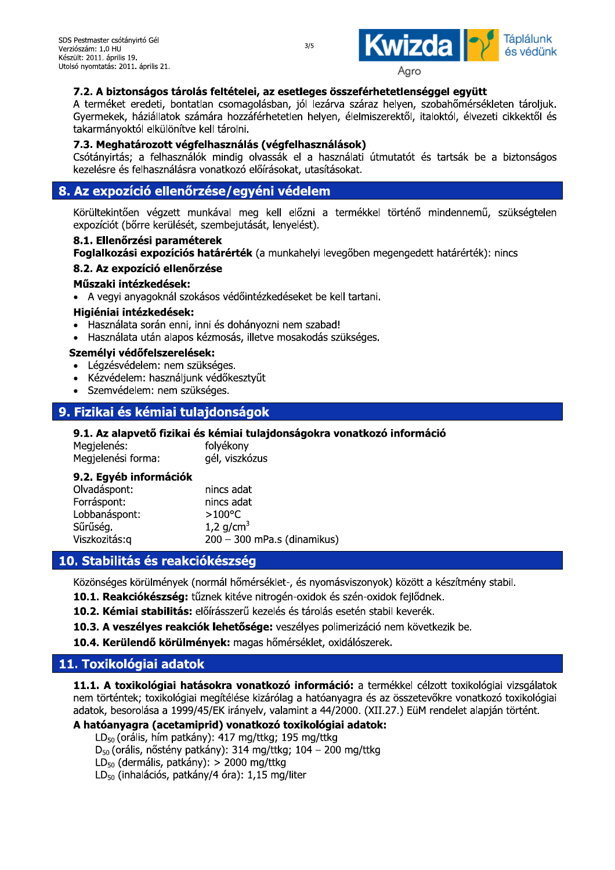

SDS Pestmaster csótányirtő Gél<br>
Verziószám: 1.0 HU<br>
Vészült: 2011. április 13.<br>
Utolsó nyomtatás: 2011. április 21.<br> **7.2. A biztonságos tárolás feltételei, az esetleges összeférhetetlenséggel együtt**<br>
A terméket eredeti, termeket eredeti, bontatlan csomagolasban, jol lezarva szaraz nelyen, szobanomersekleten taroljuk. Gyermekek, nazialiatok szamára hozzaferhetetlen helyen, elelmiszerektől, italoktól, elvezeti cikkektől és takarmanyoktol elkulonitve keli taroini.

### 7.3. Meghatározott végfelhasználás (végfelhasználások)

Csotanyirtas; a feinasznalok mindig olvassak el a hasznalati utmutatot és tartsak be a biztonságos kezelesre es feinasznalásra vonatköző előírásokat, utásításokat.

## 8. Az expozíció ellenőrzése/egyéni védelem

Korultekintöen vegzett munkaval meg kell előzni a termekkel történő mindennemű, szüksegtelen expoziciót (borre kerüleset, szembejutását, lenyelest). Salamat vondukozo elolmásokat, utaslasokat.<br>
8. Az expozíció ellenőrzése/egyéni védelem<br>
Körültekintően végzett munkával meg kell előzni a termékkel történő mindennemű, szüksé<br>
expozíciót (bőrre kerülését, szembejutását, l

### 8.1. Ellenőrzési paraméterek

Foglalkozasi expozicios hatarertek (a munkanelyi levegoben megengedett hatarertek): hincs

vegyi anyagoknai szokasos vedointezkedeseket be keli tartani.

### Higiéniai intézkedések:

- $\bullet$  Hasznalata soran enni, inni és donanyozni nem szábad!
- $\bullet$  Hasznalata utan alapos kezmosas, illetve mosakodas szukseges.

### Személyi védőfelszerelések:

- $\bullet$  Legzesvedelem: nem szukseges.
- Kezvedelem: nasznaljunk vedőkésztyüt
- Szemvedelem: nem szukseges.

## 9. Fizikai és kémiai tulajdonságok

9.1. Az alapvető fizikai és kémiai tulajdonságokra vonatkozó információ

| Megjelenés:        | folyékony      |
|--------------------|----------------|
| Megjelenési forma: | gél, viszkózus |

| • Rezvedelem: nasznaljunk vedőkésztvol<br>· Szemvédelem: nem szükséges.                             |                                                                                                 |  |  |  |
|-----------------------------------------------------------------------------------------------------|-------------------------------------------------------------------------------------------------|--|--|--|
| 9. Fizikai és kémiai tulajdonságok                                                                  |                                                                                                 |  |  |  |
| Megjelenés:<br>Megjelenési forma:                                                                   | 9.1. Az alapvető fizikai és kémiai tulajdonságokra vor<br>folyékony<br>gél, viszkózus           |  |  |  |
| 9.2. Egyéb információk<br>Olvadáspont:<br>Forráspont:<br>Lobbanáspont:<br>Sűrűség.<br>Viszkozitás:g | nincs adat<br>nincs adat<br>$>100^{\circ}$ C<br>1,2 $q/cm^{3}$<br>$200 - 300$ mPa.s (dinamikus) |  |  |  |
| 10. Stabilitás és reakciókészség                                                                    |                                                                                                 |  |  |  |
|                                                                                                     | Közönséges körülmények (normál hőmérséklet-  és nyomásy                                         |  |  |  |

## 10. Stabilitás és reakciókészség

Kozonseges korulmenyek (normal nomersekiet-, es nyomasviszonyok) között a keszítmeny stabil.

- 10.1. Reakclokeszseg: tuznek kiteve nitrogen-oxidok es szen-oxidok fejlodnek.
- kezeles es tarolas eseten stabil keverek.
- 10.3. A veszelyes reakciók lenetősége: veszelyes polimerizació nem következik be.

10.4. Kerulendo korulmenyek: magas nomerseklet, oxidaloszerek.

## 11. Toxikológiai adatok

Lobbanaspont:<br>
Sűrűség.<br>
Viszkozitás:q<br>
1.2 g/cm<sup>3</sup><br>
Viszkozitás:q<br> **10. Stabilitás és reakciókészség**<br>
Közönséges körülmények (normál hőmérséklet-, és nyomásviszonyok) között a készí<br> **10.1. Reakciókészség:** tűznek kitév **11.1. A toxikologial natasokra vonatkozo informacio:** a termekkel celzott toxikologial vizsgalatok nem tortentek; toxikologial megitelese kizarolag a natoanyagra es az osszetevokre vonatkozo toxikologial adatok, besorolasa a 1999/45/EK iranyelv, valamint a 44/2000. (XII.27.) Euly rendelet alapjan tortent.

## A hatóanyagra (acetamiprid) vonatkozó toxikológiai adatok:

LD<sub>50</sub> (oralis, nim patkany): 417 mg/ttkg; 195 mg/ttkg

 $D_{50}$  (oralis, nosteny patkany): 314 mg/ttkg; 104 – 200 mg/ttkg

 $LD_{50}$  (dermalis, patkany):  $>$  2000 mg/ttkg

(innalacios, patkany/4 ora): 1,15 mg/liter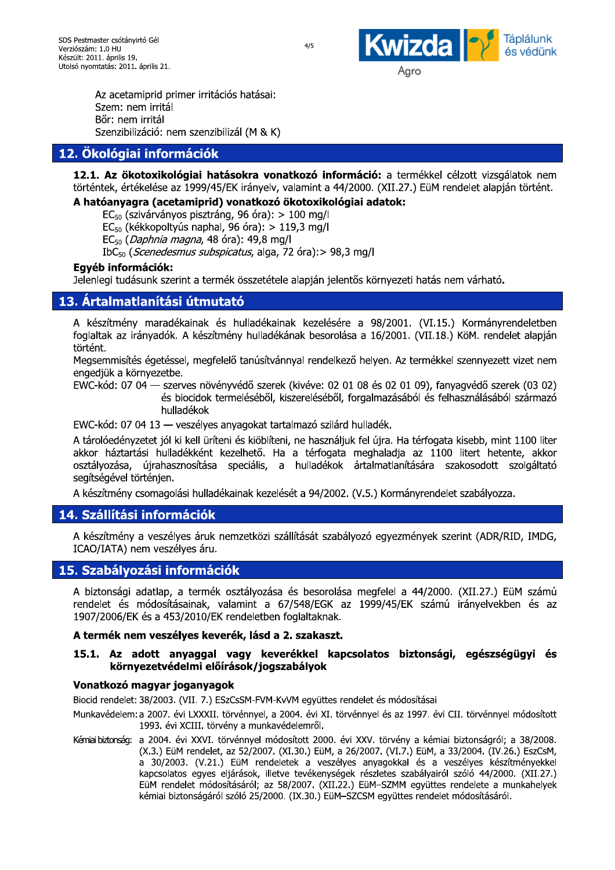

Az acetamiprid primer irritacios na irtó Gél<br>
április 21.<br>
miprid primer irritációs hatásai:<br>
m irritál<br>
záció: nem szenzibilizál (M & K)<br> **i információk**<br>
otoxikológiai hatásokra vonatkozó info<br>
ékelése az 1999/45/EK irányelv, valamint a 44 Szem: nem irrital<br>- " Bor: nem irritai Szenzibilizació: nem szenzibilizai (M & K)

## 12. Ökológiai információk

12.1. Az okotoxikologiai hatasokra vonatkozo informacio: a termekkel celzott vizsgalatok hem  $\alpha$  rortentek, ertekelese az 1999/45/EK iranyelv, valamint a 44/2000. (XII.27.) Eulyi rendelet alapjan tortent. renzibilizáció: nem szenzibilizál (M & K)<br> **Ilógiai információk**<br> **Az ökotoxikológiai hatásokra vonatkoz**<br>
ek, értékelése az 1999/45/EK irányelv, valami<br> **ianyagra (acetamiprid) vonatkozó ökoto**<br> **ianyagra (acetamiprid) vo 12. Ökológiai információk<br>
12.1. Az ökotoxikológiai hatásokra vonatko<br>
történtek, értékelése az 1999/45/EK irányelv, valan<br>
A hatóanyagra (acetamiprid) vonatkozó ökot<br>**  $EC_{50}$  **(szivárványos pisztráng, 96 óra): > 100<br> EC\_{ 12. Ökológiai információk**<br> **12.1. Az ökotoxikológiai hatásokra vonatkozó in**<br>
történtek, értékelése az 1999/45/EK irányelv, valamint a<br> **A hatóanyagra (acetamiprid) vonatkozó ökotoxiko**<br>  $EC_{50}$  (szivárványos pisztráng

## A hatóanyagra (acetamiprid) vonatkozó ökotoxikológiai adatok:

 $EC_{50}$  (szivarvanyos pisztrang, 96 ora):  $>100$  mg/l

(Kekkopoltyus haphal, 96 ora): > 119,3 mg/l

(*Daphnia magna*, 48 ora): 49,8 mg/l

aiga, 72 ora):> 98,3 mg/l

### Eavéb információk:

Jeleniegi tudasunk szerint a termek összetetele alapjan jelentös környezeti natás nem va

## 13. Ártalmatlanítási útmutató

**12.1. Az ökotoxikológiai hatásokra vortörténtek, értékelése az 1999/45/EK irányelv,<br>
A hatóanyagra (acetamiprid) vonatkozó<br>**  $EC_{50}$  **(szivárványos pisztráng, 96 óra):<br>**  $EC_{50}$  **(kékkopoltyús naphal, 96 óra):**  $\geq$ **<br>**  $EC_{50}$ **12. Okologiai Informaciok**<br> **12.1. Az ökotoxikológiai hatásokra vonatkozó in**<br>
történtek, értékelése az 1999/45/EK irányelv, valamint a<br> **A hatóanyagra (acetamiprid) vonatkozó ökotoxiko**<br>  $EC_{50}$  (szivárványos pisztráng, **12. Okológiai Informaciók**<br> **12.1. Az ökotoxikológiai hatásokra vonatkozó informá**<br>
történtek, értékelése az 1999/45/EK irányelv, valamint a 44/200<br> **A hatóanyagra (acetamiprid) vonatkozó ökotoxikológiai**<br>  $EC_{50}$  (szivá **Kologiai Informaciok**<br> **I. Az ökotoxikológiai hatásokra vonatkozó információ:**<br>
entek, értékelése az 1999/45/EK irányelv, valamint a 44/2000. (Nat**óanyagra (acetamiprid) vonatkozó ökotoxikológiai ada**<br>  $EG_{50}$  (szivárván nt a 44/2000. (XII.27.) EüM rendelet alapján<br> **xikológiai adatok:**<br>
mg/l<br>
):> 98,3 mg/l<br>
án jelentős környezeti hatás nem várható.<br>
zelésére a 98/2001. (VI.15.) Kormányrend<br>
esorolása a 16/2001. (VII.18.) KöM. rendelet<br> (XII.27.) EüM rendelet alapján történt.<br> **atok:**<br>
rnyezeti hatás nem várható.<br>
8/2001. (VI.15.) Kormányrendeletben<br>
6/2001. (VII.18.) KöM. rendelet alapján<br>
en. Az termékkel szennyezett vizet nem<br>
s 02.01.09) fanyagyédő sz A keszitmeny maradekainak és hulladekainak kezelesére a 98/2001. (VI.15.) Kormanyrendeletben rogialtak az iranyadok. A keszitmeny hulladekanak besorolasa a 16/2001. (VII.18.) KoM. rendelet alapjan történt.

Megsemmisites egetessei, megfelelő tanusítvannyai rendelkező nelyen. Az termekkel szennyezett vizet nem L&SJ--JM 
\*-

kékkopoltyús naphal, 96 óra): > 119,3 mg/l<br> *Daphnia magna*, 48 óra): 49,8 mg/l<br>
(*Scenedesmus subspicatus*, alga, 72 óra):> 9:<br> **rmációk:**<br>
ásunk szerint a termék összetétele alapján jel<br> **tlanítási útmutató**<br>
ny maradéka phnia magna, 48 óra): 49,8 mg/l<br> *enedesmus subspicatus*, alga, 72 óra):> 98,3<br> **ációk:**<br>
unk szerint a termék összetétele alapján jelen<br> **anítási útmutató**<br>
maradékainak és hulladékainak kezelésére<br>
nyadók. A készítmén retétele alapján jelentős környezeti hatás nem<br>dékainak kezelésére a 98/2001. (VI.15.)<br>Illadékának besorolása a 16/2001. (VII.18.) K<br>úsítvánnyal rendelkező helyen. Az termékkel s;<br>szerek (kivéve: 02 01 08 és 02 01 09), fan  $\textsf{EWC-R0d: U7 U4} \rightarrow \textsf{SZeIVeS}$  hovenyvedo szerek (kiveve: U2 U1 U8 es U2 U1 U9), rahyagvedo szerek (U3 U2) es biocidok termelesebol, kiszerelesebol, forgalmazasabol és felhásználásábol származó

EvvC-kod: U7 04 I3 — veszelyes anyagokat tartalmazo szilard ni

e a 98/2001. (VI.15.) Kormányrendeletbei<br>
isa a 16/2001. (VII.18.) KöM. rendelet alapjái<br>
ző helyen. Az termékkel szennyezett vizet nen<br>
11 08 és 02 01 09), fanyagvédő szerek (03 02<br>
forgalmazásából és felhasználásából szá A készítmény maradékainak és hulladékainak kezelésére a 98/2001. (VI.15.) Kormányrendeletben foglaltak az irányadók. A készítmény hulladékának besorolása a 16/2001. (VII.18.) KöM. rendelet alapján történt.<br>Megsemmistés ége hulladékának besorolása a 16/2001. (VII.18.)<br>hulladékának besorolása a 16/2001. (VII.18.)<br>músítvánnyal rendelkező helyen. Az termékkel<br>ő szerek (kivéve: 02 01 08 és 02 01 09), fany<br>séből, kiszereléséből, forgalmazásából és A taroloegenyzetet jol ki kell uriteni es kiobliteni, ne hasznaijuk fel ujra. Ha terrogata kisebb, mint 1100 liter egfelelő tanúsítvánnyal rendelkező helyen. Az t<br>övényvédő szerek (kivéve: 02 01 08 és 02 01<br>ik termeléséből, kiszereléséből, forgalmazásáb<br>k<br>yes anyagokat tartalmazó szilárd hulladék.<br>üríteni és kiöblíteni, ne használjuk f akkor naztartasi hulladekkent kezelheto. Ha a terrogata meghalagja az II00 litert hetente, akkor Megsemmisítés égetéssel, me<br/>
engedjük a környezetbe.<br>
EWC-kód: 07 04 — szerves né<br>
és biocidol<br>
hulladékok<br>
EWC-kód: 07 04 13 — veszély<br>
A tárolóedényzetet jól ki kell ü<br>
akkor háztartási hulladékkén<br>
osztályozása, újr Megsemmisítés égetéssel, megfelelő tanú<br>
engedjük a környezetbe.<br>
EWC-kód: 07 04 — szerves növényvédő s<br>
és biocidok termelésé<br>
hulladékok<br>
EWC-kód: 07 04 13 — veszélyes anyagok<br>
A tárolóedényzetet jól ki kell üríteni és k s égetéssel, megfelelő tanúsítvánnyal rendelke<br>
myezetbe.<br>
94 — szerves növényvédő szerek (kivéve: 02 0<br>
és biocidok termeléséből, kiszereléséből,<br>
hulladékok<br>
94 13 — veszélyes anyagokat tartalmazó szilárc<br>
etet jól ki ke vánnyal rendelkező helyen. Az termékkel szen<br>
erek (kivéve: 02 01 08 és 02 01 09), fanyagvé<br>
il, kiszereléséből, forgalmazásából és felhaszna<br>
tartalmazó szilárd hulladék.<br>
íteni, ne használjuk fel újra. Ha térfogata kisel n. Az termékkel szennyezett vizet nem<br>
02 01 09), fanyagvédő szerek (03 02)<br>
azásából és felhasználásából származó<br>
k.<br>
a. Ha térfogata kisebb, mint 1100 liter<br>
ladja az 1100 litert hetente, akkor<br>
atlanítására szakosodott osztalyozasa, ujrahásznosítása speciális, a hulladekok artalmatlanítására szakosodott szolgaltató engedjük a környezetbe.<br>
EWC-kód: 07 04 — szerves növényvédő sz<br>
és biocidok termeléséb<br>
hulladékok<br>
EWC-kód: 07 04 13 — veszélyes anyagoka<br>
A tárolóedényzetet jól ki kell üríteni és kiöt<br>
akkor háztartási hulladékként kez s növényvédő szerek (kivéve: 02 01 08 és 02<br>
idok termeléséből, kiszereléséből, forgalmazás<br>
ikok<br>
zélyes anyagokat tartalmazó szilárd hulladék.<br>
ell üríteni és kiöblíteni, ne használjuk fel újra.<br>
Isként kezelhető. Ha a t segitsegevel tortenjen. és biocidok termeléséből, kisz<br>hulladékok<br>C-kód: 07 04 13 — veszélyes anyagokat tartalr<br>árolóedényzetet jól ki kell üríteni és kiöblíteni, i<br>or háztartási hulladékként kezelhető. Ha a<br>tályozása, újrahasznosítása speciális,

A keszitmeny csomagolasi nulladekalnak kezeleset a 94/2002. (v.5.) Kormanyrendelet szabalyozza.

## 14. Szállítási információk

A keszitmeny a veszelyes aruk nemzetközi szallítását szabalyozó egyezmenyek szerint (ADR/RID, IMDG, ICAO/IATA) nem veszelyes aru.

## 15. Szabályozási információk

A biztonsagi adatlap, a termek osztalyozasa és besorolasa megrelel a 44/2000. (XII.27.) Eulyi szamu rendelet és modosításalhak, valamint a 67/548/EGK az 1999/45/EK számú iranyelvekben és az 1907/2006/EK és a 453/2010/EK rendeletben fogialtakhak.

### A termék nem veszélyes keverék, lásd a 2. szakaszt.

### 15.1. Az adott anyaggal vagy keverékkel kapcsolatos biztonsági, egészségügyi és környezetvédelmi előírások/jogszabályok

### Vonatkozó magyar joganyagok

 $\mathsf{BICCI}$  rendelet: 38/2003. (VII. 7.) ESZCSSM-FVM-KVVM együttes rendelet és modosításai

 $M$ unkavedelem: a 2007. evi LXXXII. torvennyel, a 2004. evi XI. torvennyel és az 1997. evi CII. torvennyel modositott 1993. evi XCIII. torveny a munkavedelemrol.

kemal biztonsag: "a 2004. evi XXVI. torvennýel modositott 2000. evi XXV. torvený a kemial biztonságról; a 38/2008.  $(x_0,x_0)$  Expression ( $x_1, x_2, x_3, x_4, x_5, x_6, x_7, x_8, x_9, x_{10}$ ) Eq.  $(x_1, x_1, x_2, x_3, x_4, x_5, x_7, x_8, x_9, x_{10}$  Essesm, a 30/2003. (V.21.) Euri rendeletek a veszelyes anyagokkal és a veszelyes keszitményekkel kapcsolatos egyes eljarások, illetve tevekenysegek reszletés szabalyairól szóló 44/2000. (XII.27.) EUM rendelet modositasarol; az 58/2007. (XII.22.) EUM-SZMM együttes rendelete a n vi CII. törvénnyel módosított<br>niai biztonságról; a 38/2008.<br>a 33/2004. (IV.26.) EszCsM,<br>veszélyes készítményekkel<br>iról szóló 44/2000. (XII.27.)<br>es rendelete a munkahelyek<br>elet módosításáról. kemiai biztonsagaroi szolo 25/2000. (IX.30.) EuM–SZCSM együttes rendelet modosításárol.

 $4/5$